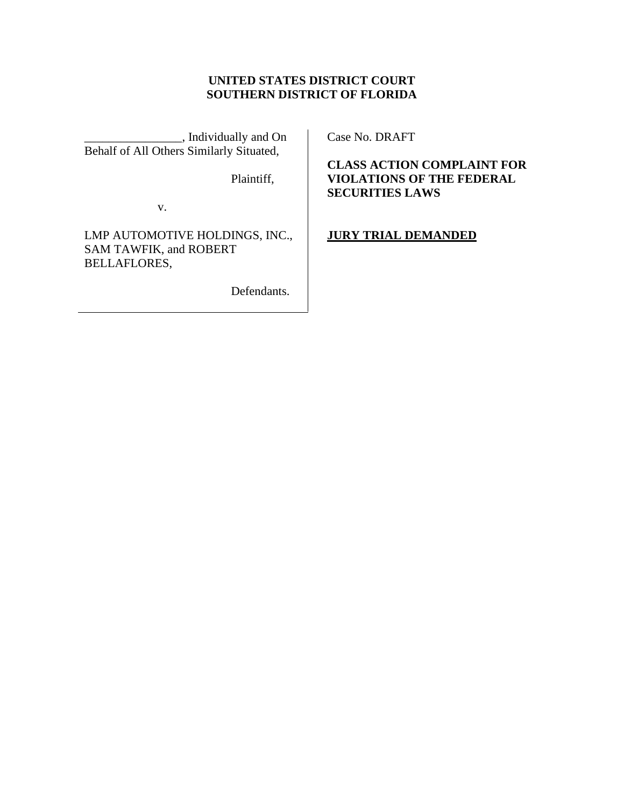# **UNITED STATES DISTRICT COURT SOUTHERN DISTRICT OF FLORIDA**

\_\_\_\_\_\_\_\_\_\_\_\_\_\_\_\_, Individually and On Behalf of All Others Similarly Situated,

Plaintiff,

v.

LMP AUTOMOTIVE HOLDINGS, INC., SAM TAWFIK, and ROBERT BELLAFLORES,

Defendants.

Case No. DRAFT

**CLASS ACTION COMPLAINT FOR VIOLATIONS OF THE FEDERAL SECURITIES LAWS**

**JURY TRIAL DEMANDED**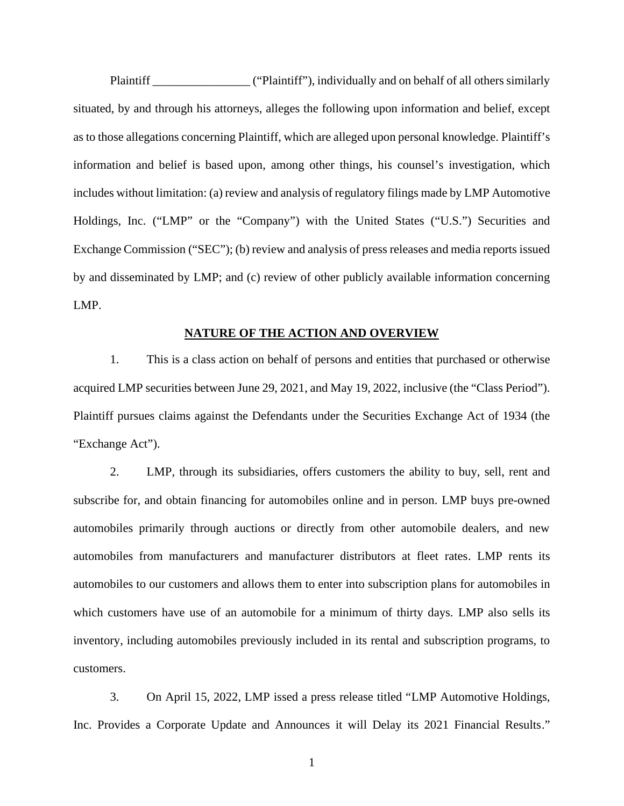Plaintiff \_\_\_\_\_\_\_\_\_\_\_\_\_\_\_\_ ("Plaintiff"), individually and on behalf of all others similarly situated, by and through his attorneys, alleges the following upon information and belief, except as to those allegations concerning Plaintiff, which are alleged upon personal knowledge. Plaintiff's information and belief is based upon, among other things, his counsel's investigation, which includes without limitation: (a) review and analysis of regulatory filings made by LMP Automotive Holdings, Inc. ("LMP" or the "Company") with the United States ("U.S.") Securities and Exchange Commission ("SEC"); (b) review and analysis of press releases and media reports issued by and disseminated by LMP; and (c) review of other publicly available information concerning LMP.

### **NATURE OF THE ACTION AND OVERVIEW**

1. This is a class action on behalf of persons and entities that purchased or otherwise acquired LMP securities between June 29, 2021, and May 19, 2022, inclusive (the "Class Period"). Plaintiff pursues claims against the Defendants under the Securities Exchange Act of 1934 (the "Exchange Act").

2. LMP, through its subsidiaries, offers customers the ability to buy, sell, rent and subscribe for, and obtain financing for automobiles online and in person. LMP buys pre-owned automobiles primarily through auctions or directly from other automobile dealers, and new automobiles from manufacturers and manufacturer distributors at fleet rates. LMP rents its automobiles to our customers and allows them to enter into subscription plans for automobiles in which customers have use of an automobile for a minimum of thirty days. LMP also sells its inventory, including automobiles previously included in its rental and subscription programs, to customers.

3. On April 15, 2022, LMP issed a press release titled "LMP Automotive Holdings, Inc. Provides a Corporate Update and Announces it will Delay its 2021 Financial Results."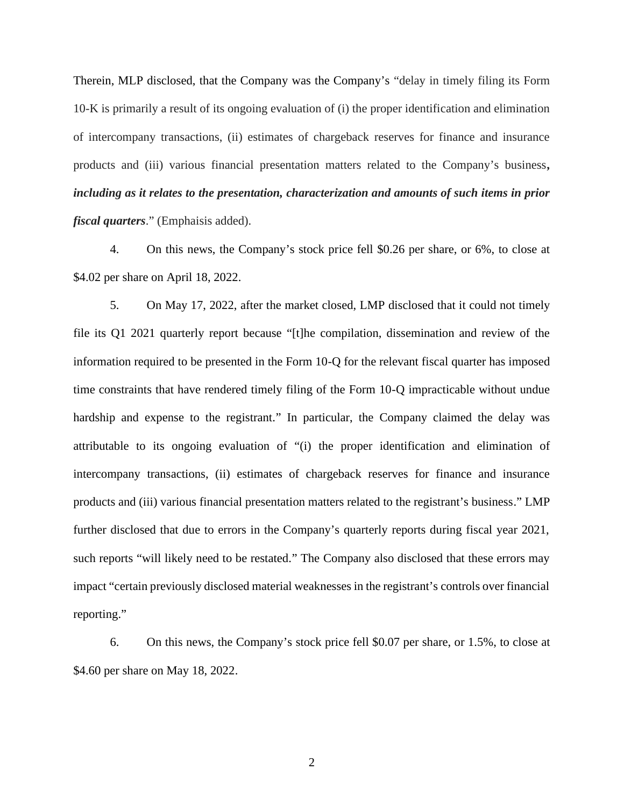Therein, MLP disclosed, that the Company was the Company's "delay in timely filing its Form 10-K is primarily a result of its ongoing evaluation of (i) the proper identification and elimination of intercompany transactions, (ii) estimates of chargeback reserves for finance and insurance products and (iii) various financial presentation matters related to the Company's business*, including as it relates to the presentation, characterization and amounts of such items in prior fiscal quarters*." (Emphaisis added).

4. On this news, the Company's stock price fell \$0.26 per share, or 6%, to close at \$4.02 per share on April 18, 2022.

5. On May 17, 2022, after the market closed, LMP disclosed that it could not timely file its Q1 2021 quarterly report because "[t]he compilation, dissemination and review of the information required to be presented in the Form 10-Q for the relevant fiscal quarter has imposed time constraints that have rendered timely filing of the Form 10-Q impracticable without undue hardship and expense to the registrant." In particular, the Company claimed the delay was attributable to its ongoing evaluation of "(i) the proper identification and elimination of intercompany transactions, (ii) estimates of chargeback reserves for finance and insurance products and (iii) various financial presentation matters related to the registrant's business." LMP further disclosed that due to errors in the Company's quarterly reports during fiscal year 2021, such reports "will likely need to be restated." The Company also disclosed that these errors may impact "certain previously disclosed material weaknesses in the registrant's controls over financial reporting."

6. On this news, the Company's stock price fell \$0.07 per share, or 1.5%, to close at \$4.60 per share on May 18, 2022.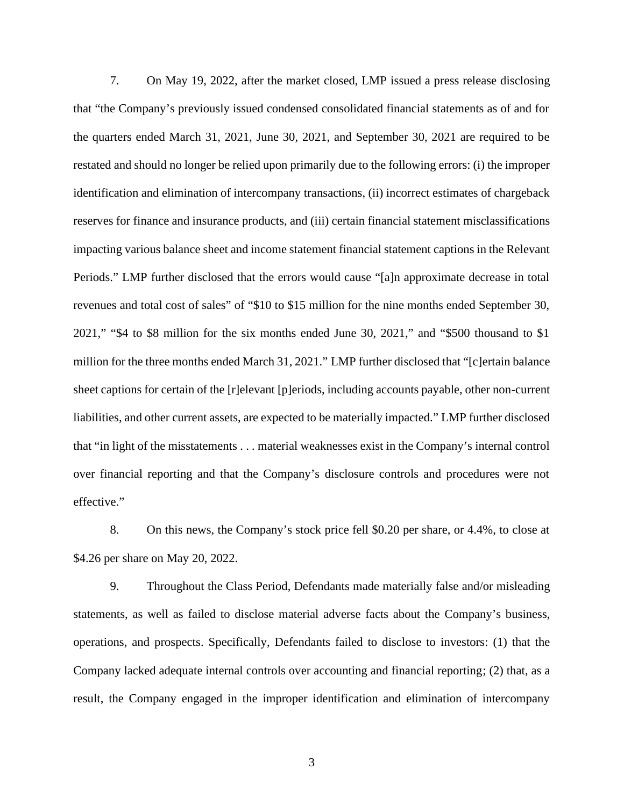7. On May 19, 2022, after the market closed, LMP issued a press release disclosing that "the Company's previously issued condensed consolidated financial statements as of and for the quarters ended March 31, 2021, June 30, 2021, and September 30, 2021 are required to be restated and should no longer be relied upon primarily due to the following errors: (i) the improper identification and elimination of intercompany transactions, (ii) incorrect estimates of chargeback reserves for finance and insurance products, and (iii) certain financial statement misclassifications impacting various balance sheet and income statement financial statement captions in the Relevant Periods." LMP further disclosed that the errors would cause "[a]n approximate decrease in total revenues and total cost of sales" of "\$10 to \$15 million for the nine months ended September 30, 2021," "\$4 to \$8 million for the six months ended June 30, 2021," and "\$500 thousand to \$1 million for the three months ended March 31, 2021." LMP further disclosed that "[c]ertain balance sheet captions for certain of the [r]elevant [p]eriods, including accounts payable, other non-current liabilities, and other current assets, are expected to be materially impacted." LMP further disclosed that "in light of the misstatements . . . material weaknesses exist in the Company's internal control over financial reporting and that the Company's disclosure controls and procedures were not effective."

8. On this news, the Company's stock price fell \$0.20 per share, or 4.4%, to close at \$4.26 per share on May 20, 2022.

9. Throughout the Class Period, Defendants made materially false and/or misleading statements, as well as failed to disclose material adverse facts about the Company's business, operations, and prospects. Specifically, Defendants failed to disclose to investors: (1) that the Company lacked adequate internal controls over accounting and financial reporting; (2) that, as a result, the Company engaged in the improper identification and elimination of intercompany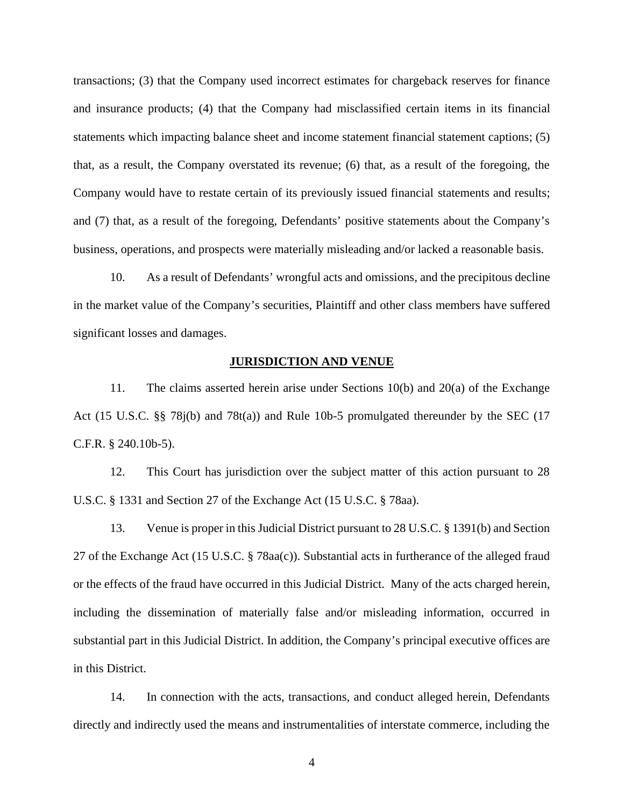transactions; (3) that the Company used incorrect estimates for chargeback reserves for finance and insurance products; (4) that the Company had misclassified certain items in its financial statements which impacting balance sheet and income statement financial statement captions; (5) that, as a result, the Company overstated its revenue; (6) that, as a result of the foregoing, the Company would have to restate certain of its previously issued financial statements and results; and (7) that, as a result of the foregoing, Defendants' positive statements about the Company's business, operations, and prospects were materially misleading and/or lacked a reasonable basis.

10. As a result of Defendants' wrongful acts and omissions, and the precipitous decline in the market value of the Company's securities, Plaintiff and other class members have suffered significant losses and damages.

### **JURISDICTION AND VENUE**

11. The claims asserted herein arise under Sections 10(b) and 20(a) of the Exchange Act (15 U.S.C. §§ 78j(b) and 78t(a)) and Rule 10b-5 promulgated thereunder by the SEC (17 C.F.R. § 240.10b-5).

12. This Court has jurisdiction over the subject matter of this action pursuant to 28 U.S.C. § 1331 and Section 27 of the Exchange Act (15 U.S.C. § 78aa).

13. Venue is proper in this Judicial District pursuant to 28 U.S.C. § 1391(b) and Section 27 of the Exchange Act (15 U.S.C. § 78aa(c)). Substantial acts in furtherance of the alleged fraud or the effects of the fraud have occurred in this Judicial District. Many of the acts charged herein, including the dissemination of materially false and/or misleading information, occurred in substantial part in this Judicial District. In addition, the Company's principal executive offices are in this District.

14. In connection with the acts, transactions, and conduct alleged herein, Defendants directly and indirectly used the means and instrumentalities of interstate commerce, including the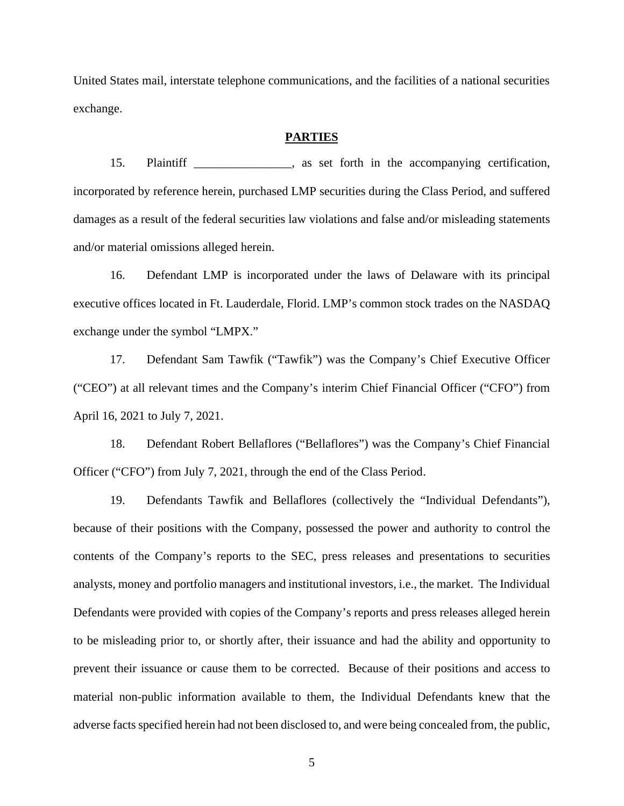United States mail, interstate telephone communications, and the facilities of a national securities exchange.

### **PARTIES**

15. Plaintiff \_\_\_\_\_\_\_\_\_\_\_\_\_\_\_\_, as set forth in the accompanying certification, incorporated by reference herein, purchased LMP securities during the Class Period, and suffered damages as a result of the federal securities law violations and false and/or misleading statements and/or material omissions alleged herein.

16. Defendant LMP is incorporated under the laws of Delaware with its principal executive offices located in Ft. Lauderdale, Florid. LMP's common stock trades on the NASDAQ exchange under the symbol "LMPX."

17. Defendant Sam Tawfik ("Tawfik") was the Company's Chief Executive Officer ("CEO") at all relevant times and the Company's interim Chief Financial Officer ("CFO") from April 16, 2021 to July 7, 2021.

18. Defendant Robert Bellaflores ("Bellaflores") was the Company's Chief Financial Officer ("CFO") from July 7, 2021, through the end of the Class Period.

19. Defendants Tawfik and Bellaflores (collectively the "Individual Defendants"), because of their positions with the Company, possessed the power and authority to control the contents of the Company's reports to the SEC, press releases and presentations to securities analysts, money and portfolio managers and institutional investors, i.e., the market. The Individual Defendants were provided with copies of the Company's reports and press releases alleged herein to be misleading prior to, or shortly after, their issuance and had the ability and opportunity to prevent their issuance or cause them to be corrected. Because of their positions and access to material non-public information available to them, the Individual Defendants knew that the adverse factsspecified herein had not been disclosed to, and were being concealed from, the public,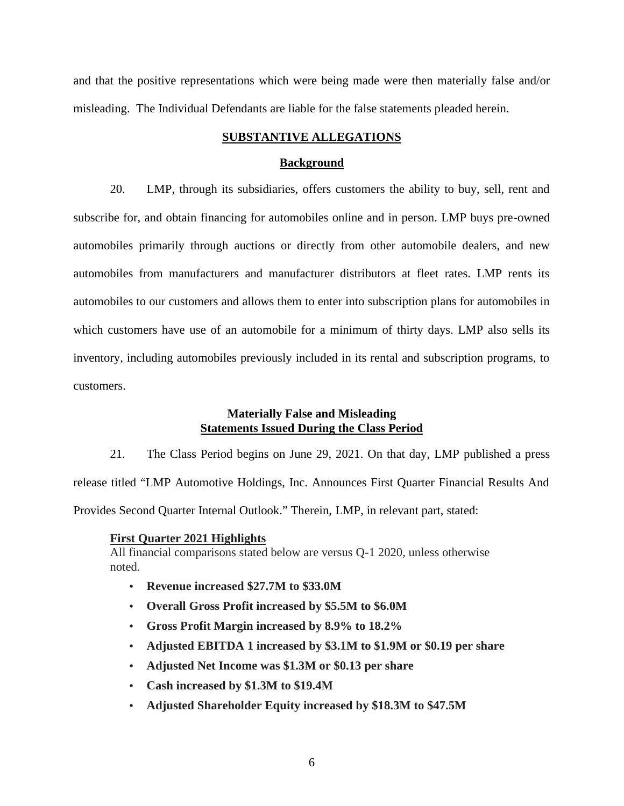and that the positive representations which were being made were then materially false and/or misleading. The Individual Defendants are liable for the false statements pleaded herein.

### **SUBSTANTIVE ALLEGATIONS**

### **Background**

20. LMP, through its subsidiaries, offers customers the ability to buy, sell, rent and subscribe for, and obtain financing for automobiles online and in person. LMP buys pre-owned automobiles primarily through auctions or directly from other automobile dealers, and new automobiles from manufacturers and manufacturer distributors at fleet rates. LMP rents its automobiles to our customers and allows them to enter into subscription plans for automobiles in which customers have use of an automobile for a minimum of thirty days. LMP also sells its inventory, including automobiles previously included in its rental and subscription programs, to customers.

### **Materially False and Misleading Statements Issued During the Class Period**

21. The Class Period begins on June 29, 2021. On that day, LMP published a press release titled "LMP Automotive Holdings, Inc. Announces First Quarter Financial Results And Provides Second Quarter Internal Outlook." Therein, LMP, in relevant part, stated:

#### **First Quarter 2021 Highlights**

All financial comparisons stated below are versus Q-1 2020, unless otherwise noted.

- **Revenue increased \$27.7M to \$33.0M**
- **Overall Gross Profit increased by \$5.5M to \$6.0M**
- **Gross Profit Margin increased by 8.9% to 18.2%**
- **Adjusted EBITDA 1 increased by \$3.1M to \$1.9M or \$0.19 per share**
- **Adjusted Net Income was \$1.3M or \$0.13 per share**
- **Cash increased by \$1.3M to \$19.4M**
- **Adjusted Shareholder Equity increased by \$18.3M to \$47.5M**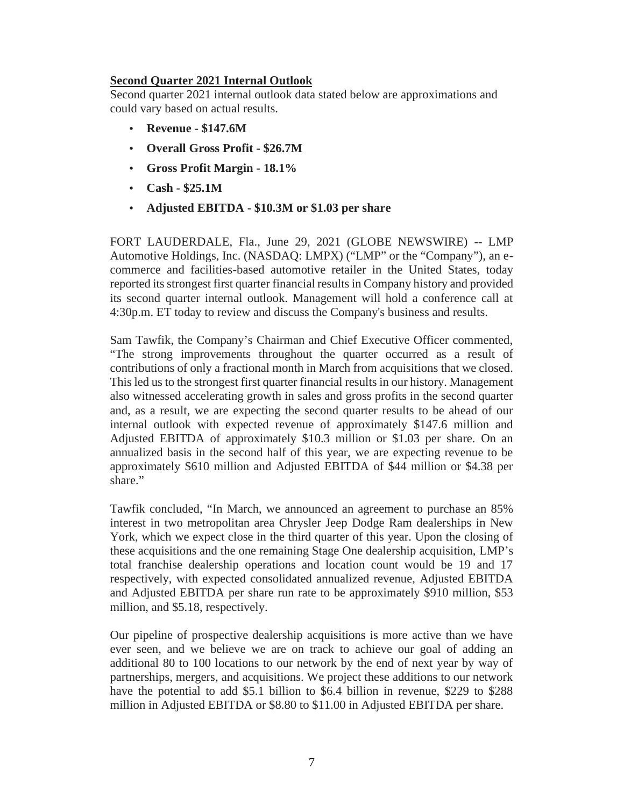# **Second Quarter 2021 Internal Outlook**

Second quarter 2021 internal outlook data stated below are approximations and could vary based on actual results.

- **Revenue - \$147.6M**
- **Overall Gross Profit - \$26.7M**
- **Gross Profit Margin - 18.1%**
- **Cash - \$25.1M**
- **Adjusted EBITDA - \$10.3M or \$1.03 per share**

FORT LAUDERDALE, Fla., June 29, 2021 (GLOBE NEWSWIRE) -- LMP Automotive Holdings, Inc. (NASDAQ: LMPX) ("LMP" or the "Company"), an e commerce and facilities-based automotive retailer in the United States, today reported its strongest first quarter financial results in Company history and provided its second quarter internal outlook. Management will hold a conference call at 4:30p.m. ET today to review and discuss the Company's business and results.

Sam Tawfik, the Company's Chairman and Chief Executive Officer commented, "The strong improvements throughout the quarter occurred as a result of contributions of only a fractional month in March from acquisitions that we closed. This led us to the strongest first quarter financial results in our history. Management also witnessed accelerating growth in sales and gross profits in the second quarter and, as a result, we are expecting the second quarter results to be ahead of our internal outlook with expected revenue of approximately \$147.6 million and Adjusted EBITDA of approximately \$10.3 million or \$1.03 per share. On an annualized basis in the second half of this year, we are expecting revenue to be approximately \$610 million and Adjusted EBITDA of \$44 million or \$4.38 per share."

Tawfik concluded, "In March, we announced an agreement to purchase an 85% interest in two metropolitan area Chrysler Jeep Dodge Ram dealerships in New York, which we expect close in the third quarter of this year. Upon the closing of these acquisitions and the one remaining Stage One dealership acquisition, LMP's total franchise dealership operations and location count would be 19 and 17 respectively, with expected consolidated annualized revenue, Adjusted EBITDA and Adjusted EBITDA per share run rate to be approximately \$910 million, \$53 million, and \$5.18, respectively.

Our pipeline of prospective dealership acquisitions is more active than we have ever seen, and we believe we are on track to achieve our goal of adding an additional 80 to 100 locations to our network by the end of next year by way of partnerships, mergers, and acquisitions. We project these additions to our network have the potential to add \$5.1 billion to \$6.4 billion in revenue, \$229 to \$288 million in Adjusted EBITDA or \$8.80 to \$11.00 in Adjusted EBITDA per share.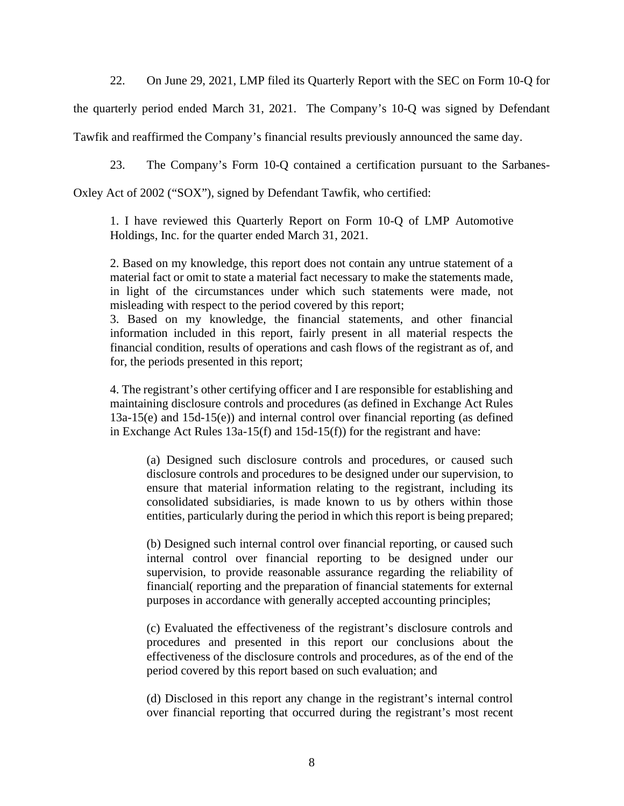22. On June 29, 2021, LMP filed its Quarterly Report with the SEC on Form 10-Q for

the quarterly period ended March 31, 2021. The Company's 10-Q was signed by Defendant

Tawfik and reaffirmed the Company's financial results previously announced the same day.

23. The Company's Form 10-Q contained a certification pursuant to the Sarbanes-

Oxley Act of 2002 ("SOX"), signed by Defendant Tawfik, who certified:

1. I have reviewed this Quarterly Report on Form 10-Q of LMP Automotive Holdings, Inc. for the quarter ended March 31, 2021.

2. Based on my knowledge, this report does not contain any untrue statement of a material fact or omit to state a material fact necessary to make the statements made, in light of the circumstances under which such statements were made, not misleading with respect to the period covered by this report;

3. Based on my knowledge, the financial statements, and other financial information included in this report, fairly present in all material respects the financial condition, results of operations and cash flows of the registrant as of, and for, the periods presented in this report;

4. The registrant's other certifying officer and I are responsible for establishing and maintaining disclosure controls and procedures (as defined in Exchange Act Rules 13a-15(e) and 15d-15(e)) and internal control over financial reporting (as defined in Exchange Act Rules 13a-15(f) and 15d-15(f)) for the registrant and have:

(a) Designed such disclosure controls and procedures, or caused such disclosure controls and procedures to be designed under our supervision, to ensure that material information relating to the registrant, including its consolidated subsidiaries, is made known to us by others within those entities, particularly during the period in which this report is being prepared;

(b) Designed such internal control over financial reporting, or caused such internal control over financial reporting to be designed under our supervision, to provide reasonable assurance regarding the reliability of financial( reporting and the preparation of financial statements for external purposes in accordance with generally accepted accounting principles;

(c) Evaluated the effectiveness of the registrant's disclosure controls and procedures and presented in this report our conclusions about the effectiveness of the disclosure controls and procedures, as of the end of the period covered by this report based on such evaluation; and

(d) Disclosed in this report any change in the registrant's internal control over financial reporting that occurred during the registrant's most recent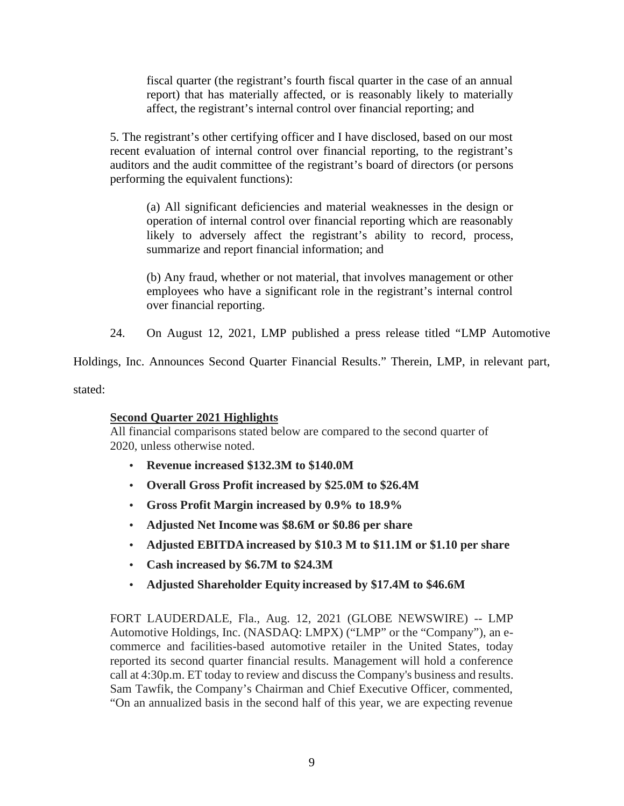fiscal quarter (the registrant's fourth fiscal quarter in the case of an annual report) that has materially affected, or is reasonably likely to materially affect, the registrant's internal control over financial reporting; and

5. The registrant's other certifying officer and I have disclosed, based on our most recent evaluation of internal control over financial reporting, to the registrant's auditors and the audit committee of the registrant's board of directors (or persons performing the equivalent functions):

(a) All significant deficiencies and material weaknesses in the design or operation of internal control over financial reporting which are reasonably likely to adversely affect the registrant's ability to record, process, summarize and report financial information; and

(b) Any fraud, whether or not material, that involves management or other employees who have a significant role in the registrant's internal control over financial reporting.

24. On August 12, 2021, LMP published a press release titled "LMP Automotive

Holdings, Inc. Announces Second Quarter Financial Results." Therein, LMP, in relevant part,

stated:

# **Second Quarter 2021 Highlights**

All financial comparisons stated below are compared to the second quarter of 2020, unless otherwise noted.

- **Revenue increased \$132.3M to \$140.0M**
- **Overall Gross Profit increased by \$25.0M to \$26.4M**
- **Gross Profit Margin increased by 0.9% to 18.9%**
- **Adjusted Net Income was \$8.6M or \$0.86 per share**
- **Adjusted EBITDA increased by \$10.3 M to \$11.1M or \$1.10 per share**
- **Cash increased by \$6.7M to \$24.3M**
- **Adjusted Shareholder Equity increased by \$17.4M to \$46.6M**

FORT LAUDERDALE, Fla., Aug. 12, 2021 (GLOBE NEWSWIRE) -- LMP Automotive Holdings, Inc. (NASDAQ: LMPX) ("LMP" or the "Company"), an e commerce and facilities-based automotive retailer in the United States, today reported its second quarter financial results. Management will hold a conference call at 4:30p.m. ET today to review and discuss the Company's business and results. Sam Tawfik, the Company's Chairman and Chief Executive Officer, commented, "On an annualized basis in the second half of this year, we are expecting revenue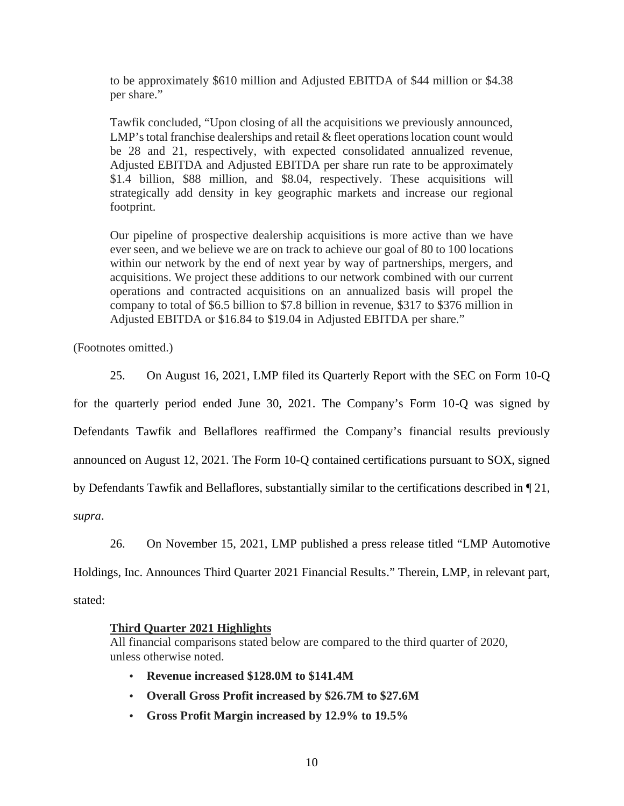to be approximately \$610 million and Adjusted EBITDA of \$44 million or \$4.38 per share."

Tawfik concluded, "Upon closing of all the acquisitions we previously announced, LMP's total franchise dealerships and retail & fleet operations location count would be 28 and 21, respectively, with expected consolidated annualized revenue, Adjusted EBITDA and Adjusted EBITDA per share run rate to be approximately \$1.4 billion, \$88 million, and \$8.04, respectively. These acquisitions will strategically add density in key geographic markets and increase our regional footprint.

Our pipeline of prospective dealership acquisitions is more active than we have ever seen, and we believe we are on track to achieve our goal of 80 to 100 locations within our network by the end of next year by way of partnerships, mergers, and acquisitions. We project these additions to our network combined with our current operations and contracted acquisitions on an annualized basis will propel the company to total of \$6.5 billion to \$7.8 billion in revenue, \$317 to \$376 million in Adjusted EBITDA or \$16.84 to \$19.04 in Adjusted EBITDA per share."

(Footnotes omitted.)

25. On August 16, 2021, LMP filed its Quarterly Report with the SEC on Form 10-Q

for the quarterly period ended June 30, 2021. The Company's Form 10-Q was signed by Defendants Tawfik and Bellaflores reaffirmed the Company's financial results previously announced on August 12, 2021. The Form 10-Q contained certifications pursuant to SOX, signed by Defendants Tawfik and Bellaflores, substantially similar to the certifications described in ¶ 21,

*supra*.

26. On November 15, 2021, LMP published a press release titled "LMP Automotive

Holdings, Inc. Announces Third Quarter 2021 Financial Results." Therein, LMP, in relevant part,

stated:

### **Third Quarter 2021 Highlights**

All financial comparisons stated below are compared to the third quarter of 2020, unless otherwise noted.

- **Revenue increased \$128.0M to \$141.4M**
- **Overall Gross Profit increased by \$26.7M to \$27.6M**
- **Gross Profit Margin increased by 12.9% to 19.5%**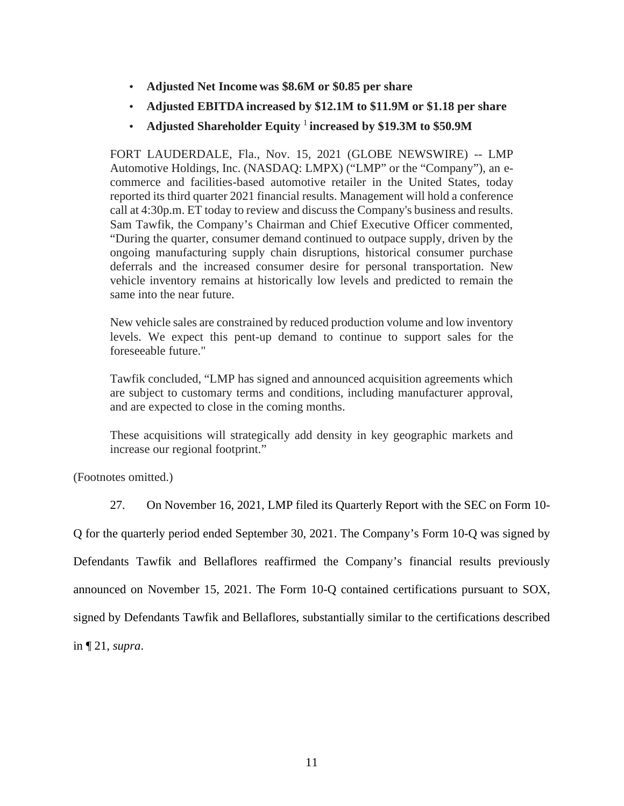- **Adjusted Net Income was \$8.6M or \$0.85 per share**
- **Adjusted EBITDA increased by \$12.1M to \$11.9M or \$1.18 per share**
- **Adjusted Shareholder Equity** <sup>1</sup> **increased by \$19.3M to \$50.9M**

FORT LAUDERDALE, Fla., Nov. 15, 2021 (GLOBE NEWSWIRE) -- LMP Automotive Holdings, Inc. (NASDAQ: LMPX) ("LMP" or the "Company"), an e commerce and facilities-based automotive retailer in the United States, today reported its third quarter 2021 financial results. Management will hold a conference call at 4:30p.m. ET today to review and discuss the Company's business and results. Sam Tawfik, the Company's Chairman and Chief Executive Officer commented, "During the quarter, consumer demand continued to outpace supply, driven by the ongoing manufacturing supply chain disruptions, historical consumer purchase deferrals and the increased consumer desire for personal transportation. New vehicle inventory remains at historically low levels and predicted to remain the same into the near future.

New vehicle sales are constrained by reduced production volume and low inventory levels. We expect this pent-up demand to continue to support sales for the foreseeable future."

Tawfik concluded, "LMP has signed and announced acquisition agreements which are subject to customary terms and conditions, including manufacturer approval, and are expected to close in the coming months.

These acquisitions will strategically add density in key geographic markets and increase our regional footprint."

(Footnotes omitted.)

27. On November 16, 2021, LMP filed its Quarterly Report with the SEC on Form 10-

Q for the quarterly period ended September 30, 2021. The Company's Form 10-Q was signed by Defendants Tawfik and Bellaflores reaffirmed the Company's financial results previously announced on November 15, 2021. The Form 10-Q contained certifications pursuant to SOX, signed by Defendants Tawfik and Bellaflores, substantially similar to the certifications described in ¶ 21,*supra*.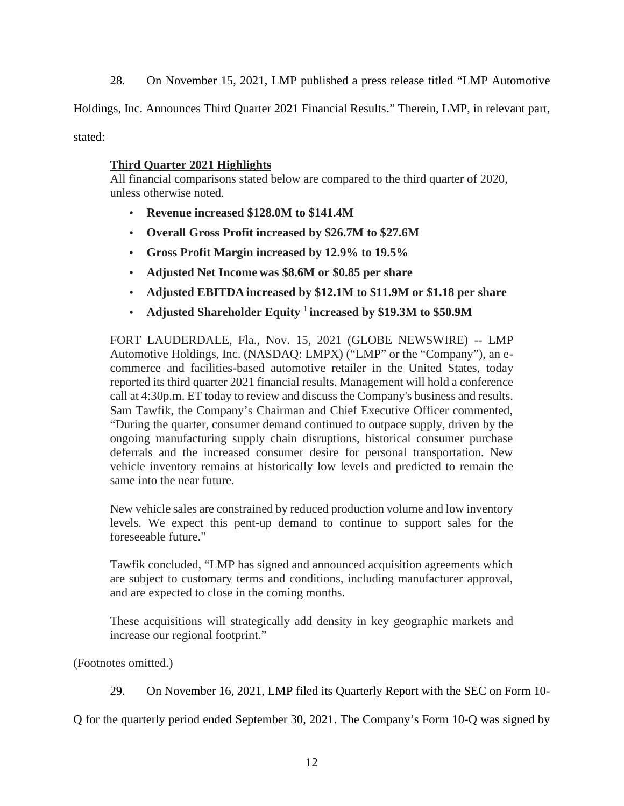28. On November 15, 2021, LMP published a press release titled "LMP Automotive

Holdings, Inc. Announces Third Quarter 2021 Financial Results." Therein, LMP, in relevant part,

stated:

# **Third Quarter 2021 Highlights**

All financial comparisons stated below are compared to the third quarter of 2020, unless otherwise noted.

- **Revenue increased \$128.0M to \$141.4M**
- **Overall Gross Profit increased by \$26.7M to \$27.6M**
- **Gross Profit Margin increased by 12.9% to 19.5%**
- **Adjusted Net Income was \$8.6M or \$0.85 per share**
- **Adjusted EBITDA increased by \$12.1M to \$11.9M or \$1.18 per share**
- **Adjusted Shareholder Equity** <sup>1</sup> **increased by \$19.3M to \$50.9M**

FORT LAUDERDALE, Fla., Nov. 15, 2021 (GLOBE NEWSWIRE) -- LMP Automotive Holdings, Inc. (NASDAQ: LMPX) ("LMP" or the "Company"), an e commerce and facilities-based automotive retailer in the United States, today reported its third quarter 2021 financial results. Management will hold a conference call at 4:30p.m. ET today to review and discuss the Company's business and results. Sam Tawfik, the Company's Chairman and Chief Executive Officer commented, "During the quarter, consumer demand continued to outpace supply, driven by the ongoing manufacturing supply chain disruptions, historical consumer purchase deferrals and the increased consumer desire for personal transportation. New vehicle inventory remains at historically low levels and predicted to remain the same into the near future.

New vehicle sales are constrained by reduced production volume and low inventory levels. We expect this pent-up demand to continue to support sales for the foreseeable future."

Tawfik concluded, "LMP has signed and announced acquisition agreements which are subject to customary terms and conditions, including manufacturer approval, and are expected to close in the coming months.

These acquisitions will strategically add density in key geographic markets and increase our regional footprint."

(Footnotes omitted.)

29. On November 16, 2021, LMP filed its Quarterly Report with the SEC on Form 10-

Q for the quarterly period ended September 30, 2021. The Company's Form 10-Q was signed by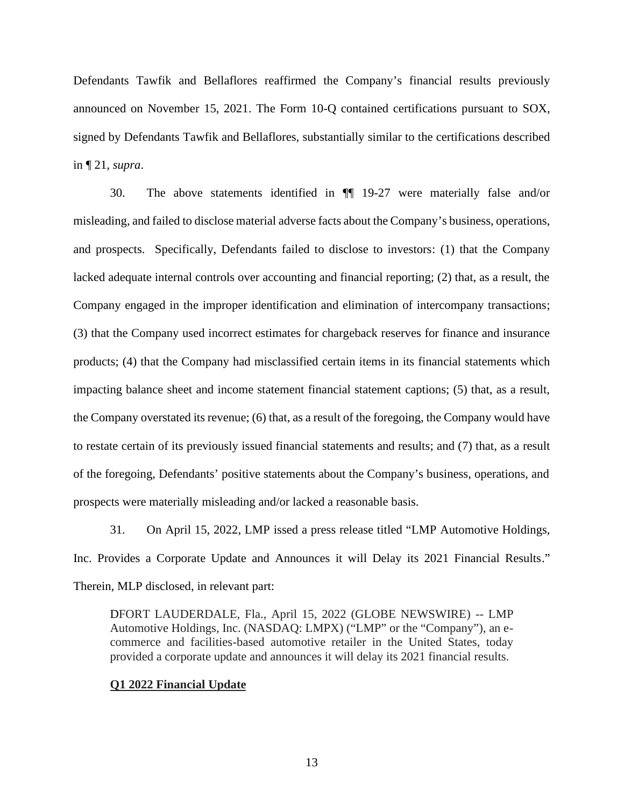Defendants Tawfik and Bellaflores reaffirmed the Company's financial results previously announced on November 15, 2021. The Form 10-Q contained certifications pursuant to SOX, signed by Defendants Tawfik and Bellaflores, substantially similar to the certifications described in ¶ 21,*supra*.

30. The above statements identified in ¶¶ 19-27 were materially false and/or misleading, and failed to disclose material adverse facts about the Company's business, operations, and prospects. Specifically, Defendants failed to disclose to investors: (1) that the Company lacked adequate internal controls over accounting and financial reporting; (2) that, as a result, the Company engaged in the improper identification and elimination of intercompany transactions; (3) that the Company used incorrect estimates for chargeback reserves for finance and insurance products; (4) that the Company had misclassified certain items in its financial statements which impacting balance sheet and income statement financial statement captions; (5) that, as a result, the Company overstated its revenue; (6) that, as a result of the foregoing, the Company would have to restate certain of its previously issued financial statements and results; and (7) that, as a result of the foregoing, Defendants' positive statements about the Company's business, operations, and prospects were materially misleading and/or lacked a reasonable basis.

31. On April 15, 2022, LMP issed a press release titled "LMP Automotive Holdings, Inc. Provides a Corporate Update and Announces it will Delay its 2021 Financial Results." Therein, MLP disclosed, in relevant part:

DFORT LAUDERDALE, Fla., April 15, 2022 (GLOBE NEWSWIRE) -- LMP Automotive Holdings, Inc. (NASDAQ: LMPX) ("LMP" or the "Company"), an e commerce and facilities-based automotive retailer in the United States, today provided a corporate update and announces it will delay its 2021 financial results.

### **Q1 2022 Financial Update**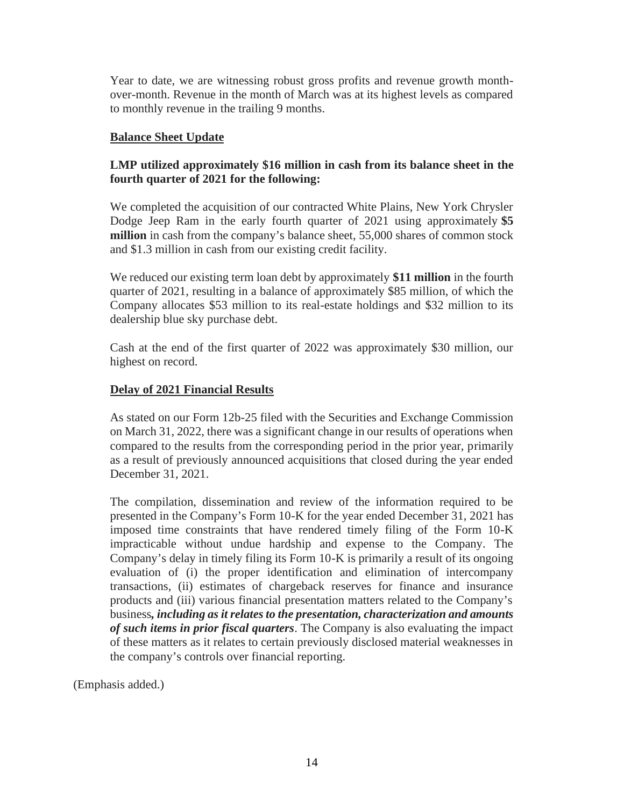Year to date, we are witnessing robust gross profits and revenue growth month over-month. Revenue in the month of March was at its highest levels as compared to monthly revenue in the trailing 9 months.

# **Balance Sheet Update**

# **LMP utilized approximately \$16 million in cash from its balance sheet in the fourth quarter of 2021 for the following:**

We completed the acquisition of our contracted White Plains, New York Chrysler Dodge Jeep Ram in the early fourth quarter of 2021 using approximately **\$5 million** in cash from the company's balance sheet, 55,000 shares of common stock and \$1.3 million in cash from our existing credit facility.

We reduced our existing term loan debt by approximately **\$11 million** in the fourth quarter of 2021, resulting in a balance of approximately \$85 million, of which the Company allocates \$53 million to its real-estate holdings and \$32 million to its dealership blue sky purchase debt.

Cash at the end of the first quarter of 2022 was approximately \$30 million, our highest on record.

# **Delay of 2021 Financial Results**

As stated on our Form 12b-25 filed with the Securities and Exchange Commission on March 31, 2022, there was a significant change in our results of operations when compared to the results from the corresponding period in the prior year, primarily as a result of previously announced acquisitions that closed during the year ended December 31, 2021.

The compilation, dissemination and review of the information required to be presented in the Company's Form 10-K for the year ended December 31, 2021 has imposed time constraints that have rendered timely filing of the Form 10-K impracticable without undue hardship and expense to the Company. The Company's delay in timely filing its Form 10-K is primarily a result of its ongoing evaluation of (i) the proper identification and elimination of intercompany transactions, (ii) estimates of chargeback reserves for finance and insurance products and (iii) various financial presentation matters related to the Company's business*, including as it relates to the presentation, characterization and amounts of such items in prior fiscal quarters*. The Company is also evaluating the impact of these matters as it relates to certain previously disclosed material weaknesses in the company's controls over financial reporting.

(Emphasis added.)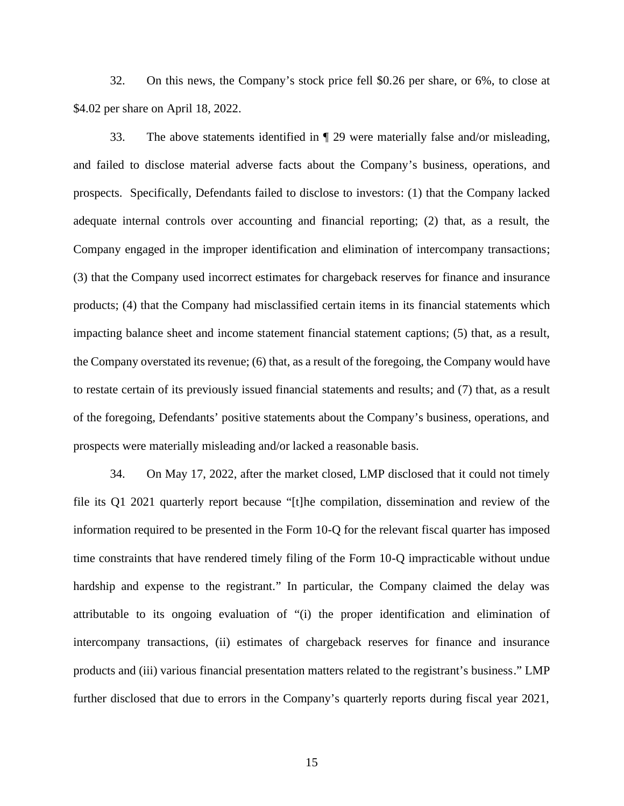32. On this news, the Company's stock price fell \$0.26 per share, or 6%, to close at \$4.02 per share on April 18, 2022.

33. The above statements identified in ¶ 29 were materially false and/or misleading, and failed to disclose material adverse facts about the Company's business, operations, and prospects. Specifically, Defendants failed to disclose to investors: (1) that the Company lacked adequate internal controls over accounting and financial reporting; (2) that, as a result, the Company engaged in the improper identification and elimination of intercompany transactions; (3) that the Company used incorrect estimates for chargeback reserves for finance and insurance products; (4) that the Company had misclassified certain items in its financial statements which impacting balance sheet and income statement financial statement captions; (5) that, as a result, the Company overstated its revenue; (6) that, as a result of the foregoing, the Company would have to restate certain of its previously issued financial statements and results; and (7) that, as a result of the foregoing, Defendants' positive statements about the Company's business, operations, and prospects were materially misleading and/or lacked a reasonable basis.

34. On May 17, 2022, after the market closed, LMP disclosed that it could not timely file its Q1 2021 quarterly report because "[t]he compilation, dissemination and review of the information required to be presented in the Form 10-Q for the relevant fiscal quarter has imposed time constraints that have rendered timely filing of the Form 10-Q impracticable without undue hardship and expense to the registrant." In particular, the Company claimed the delay was attributable to its ongoing evaluation of "(i) the proper identification and elimination of intercompany transactions, (ii) estimates of chargeback reserves for finance and insurance products and (iii) various financial presentation matters related to the registrant's business." LMP further disclosed that due to errors in the Company's quarterly reports during fiscal year 2021,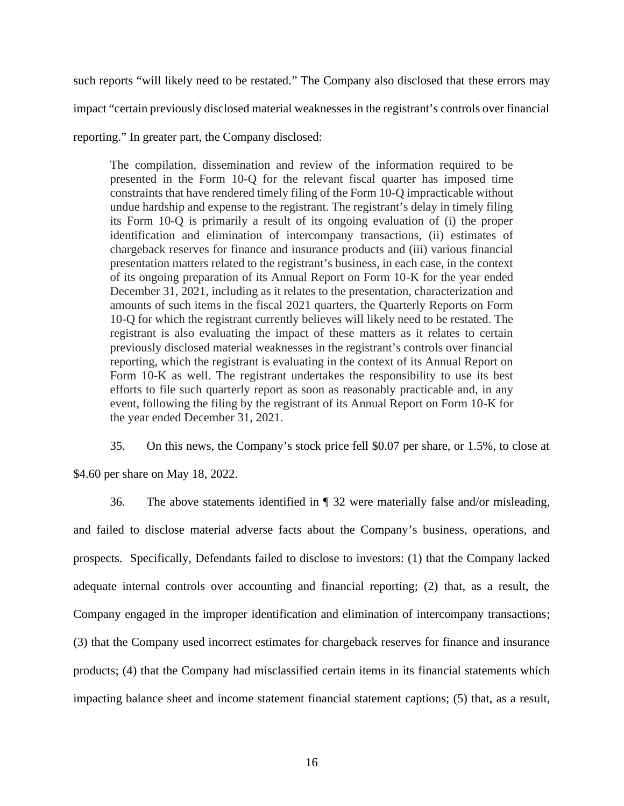such reports "will likely need to be restated." The Company also disclosed that these errors may impact "certain previously disclosed material weaknesses in the registrant's controls over financial reporting." In greater part, the Company disclosed:

The compilation, dissemination and review of the information required to be presented in the Form 10-Q for the relevant fiscal quarter has imposed time constraints that have rendered timely filing of the Form 10-Q impracticable without undue hardship and expense to the registrant. The registrant's delay in timely filing its Form 10-Q is primarily a result of its ongoing evaluation of (i) the proper identification and elimination of intercompany transactions, (ii) estimates of chargeback reserves for finance and insurance products and (iii) various financial presentation matters related to the registrant's business, in each case, in the context of its ongoing preparation of its Annual Report on Form 10-K for the year ended December 31, 2021, including as it relates to the presentation, characterization and amounts of such items in the fiscal 2021 quarters, the Quarterly Reports on Form 10-Q for which the registrant currently believes will likely need to be restated. The registrant is also evaluating the impact of these matters as it relates to certain previously disclosed material weaknesses in the registrant's controls over financial reporting, which the registrant is evaluating in the context of its Annual Report on Form 10-K as well. The registrant undertakes the responsibility to use its best efforts to file such quarterly report as soon as reasonably practicable and, in any event, following the filing by the registrant of its Annual Report on Form 10-K for the year ended December 31, 2021.

35. On this news, the Company's stock price fell \$0.07 per share, or 1.5%, to close at

\$4.60 per share on May 18, 2022.

36. The above statements identified in ¶ 32 were materially false and/or misleading, and failed to disclose material adverse facts about the Company's business, operations, and prospects. Specifically, Defendants failed to disclose to investors: (1) that the Company lacked adequate internal controls over accounting and financial reporting; (2) that, as a result, the Company engaged in the improper identification and elimination of intercompany transactions; (3) that the Company used incorrect estimates for chargeback reserves for finance and insurance products; (4) that the Company had misclassified certain items in its financial statements which impacting balance sheet and income statement financial statement captions; (5) that, as a result,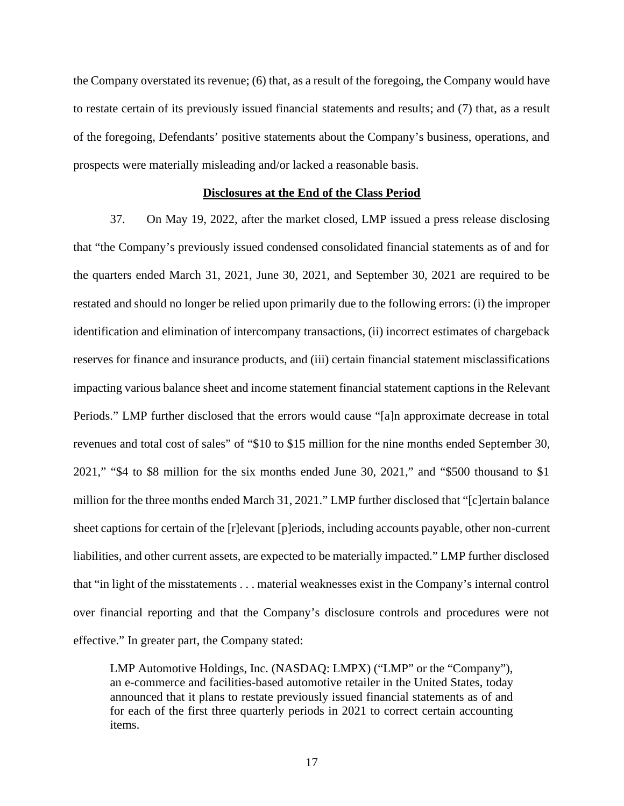the Company overstated its revenue; (6) that, as a result of the foregoing, the Company would have to restate certain of its previously issued financial statements and results; and (7) that, as a result of the foregoing, Defendants' positive statements about the Company's business, operations, and prospects were materially misleading and/or lacked a reasonable basis.

### **Disclosures at the End of the Class Period**

37. On May 19, 2022, after the market closed, LMP issued a press release disclosing that "the Company's previously issued condensed consolidated financial statements as of and for the quarters ended March 31, 2021, June 30, 2021, and September 30, 2021 are required to be restated and should no longer be relied upon primarily due to the following errors: (i) the improper identification and elimination of intercompany transactions, (ii) incorrect estimates of chargeback reserves for finance and insurance products, and (iii) certain financial statement misclassifications impacting various balance sheet and income statement financial statement captions in the Relevant Periods." LMP further disclosed that the errors would cause "[a]n approximate decrease in total revenues and total cost of sales" of "\$10 to \$15 million for the nine months ended September 30, 2021," "\$4 to \$8 million for the six months ended June 30, 2021," and "\$500 thousand to \$1 million for the three months ended March 31, 2021." LMP further disclosed that "[c]ertain balance sheet captions for certain of the [r]elevant [p]eriods, including accounts payable, other non-current liabilities, and other current assets, are expected to be materially impacted." LMP further disclosed that "in light of the misstatements . . . material weaknesses exist in the Company's internal control over financial reporting and that the Company's disclosure controls and procedures were not effective." In greater part, the Company stated:

LMP Automotive Holdings, Inc. (NASDAQ: LMPX) ("LMP" or the "Company"), an e-commerce and facilities-based automotive retailer in the United States, today announced that it plans to restate previously issued financial statements as of and for each of the first three quarterly periods in 2021 to correct certain accounting items.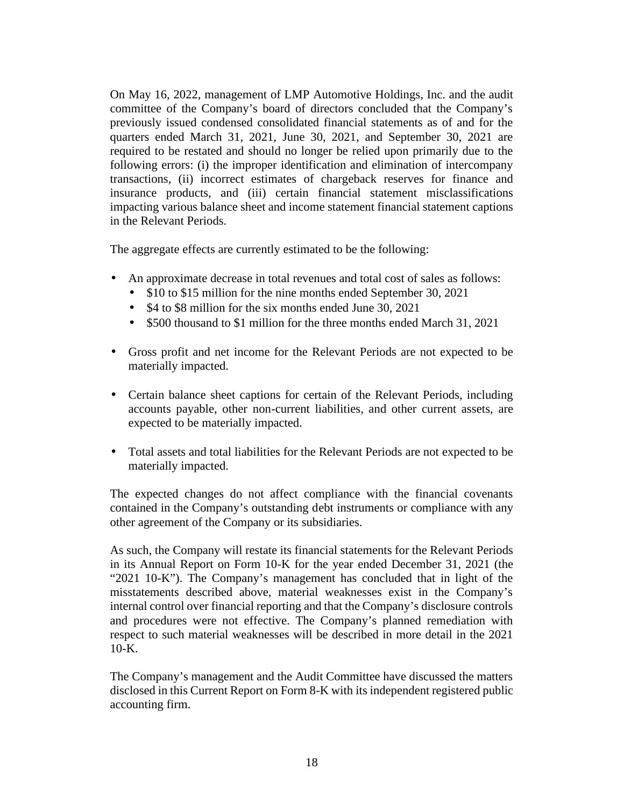On May 16, 2022, management of LMP Automotive Holdings, Inc. and the audit committee of the Company's board of directors concluded that the Company's previously issued condensed consolidated financial statements as of and for the quarters ended March 31, 2021, June 30, 2021, and September 30, 2021 are required to be restated and should no longer be relied upon primarily due to the following errors: (i) the improper identification and elimination of intercompany transactions, (ii) incorrect estimates of chargeback reserves for finance and insurance products, and (iii) certain financial statement misclassifications impacting various balance sheet and income statement financial statement captions in the Relevant Periods.

The aggregate effects are currently estimated to be the following:

- An approximate decrease in total revenues and total cost of sales as follows:
	- \$10 to \$15 million for the nine months ended September 30, 2021
	- \$4 to \$8 million for the six months ended June 30, 2021
	- \$500 thousand to \$1 million for the three months ended March 31, 2021
- Gross profit and net income for the Relevant Periods are not expected to be materially impacted.
- Certain balance sheet captions for certain of the Relevant Periods, including accounts payable, other non-current liabilities, and other current assets, are expected to be materially impacted.
- Total assets and total liabilities for the Relevant Periods are not expected to be materially impacted.

The expected changes do not affect compliance with the financial covenants contained in the Company's outstanding debt instruments or compliance with any other agreement of the Company or its subsidiaries.

As such, the Company will restate its financial statements for the Relevant Periods in its Annual Report on Form 10-K for the year ended December 31, 2021 (the "2021 10-K"). The Company's management has concluded that in light of the misstatements described above, material weaknesses exist in the Company's internal control over financial reporting and that the Company's disclosure controls and procedures were not effective. The Company's planned remediation with respect to such material weaknesses will be described in more detail in the 2021  $10-K$ .

The Company's management and the Audit Committee have discussed the matters disclosed in this Current Report on Form 8-K with its independent registered public accounting firm.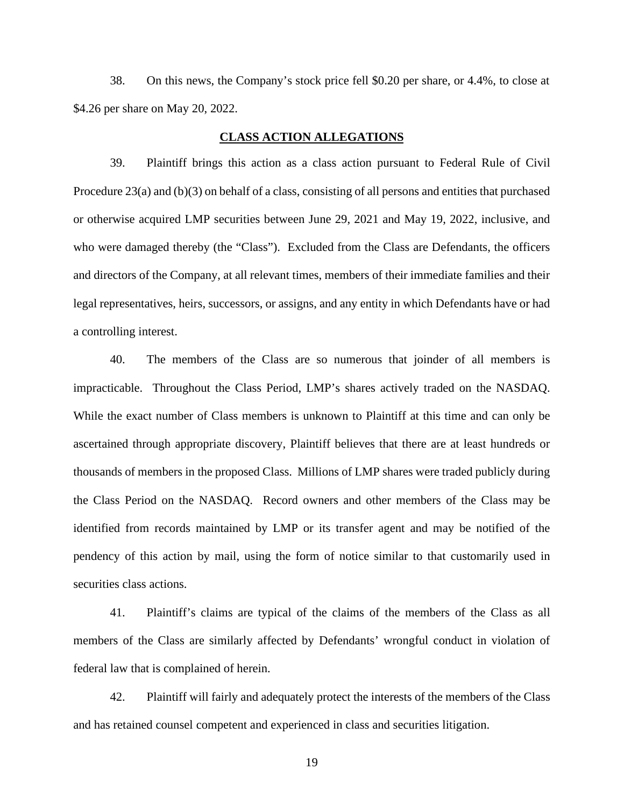38. On this news, the Company's stock price fell \$0.20 per share, or 4.4%, to close at \$4.26 per share on May 20, 2022.

### **CLASS ACTION ALLEGATIONS**

39. Plaintiff brings this action as a class action pursuant to Federal Rule of Civil Procedure 23(a) and (b)(3) on behalf of a class, consisting of all persons and entities that purchased or otherwise acquired LMP securities between June 29, 2021 and May 19, 2022, inclusive, and who were damaged thereby (the "Class"). Excluded from the Class are Defendants, the officers and directors of the Company, at all relevant times, members of their immediate families and their legal representatives, heirs, successors, or assigns, and any entity in which Defendants have or had a controlling interest.

40. The members of the Class are so numerous that joinder of all members is impracticable. Throughout the Class Period, LMP's shares actively traded on the NASDAQ. While the exact number of Class members is unknown to Plaintiff at this time and can only be ascertained through appropriate discovery, Plaintiff believes that there are at least hundreds or thousands of members in the proposed Class. Millions of LMP shares were traded publicly during the Class Period on the NASDAQ. Record owners and other members of the Class may be identified from records maintained by LMP or its transfer agent and may be notified of the pendency of this action by mail, using the form of notice similar to that customarily used in securities class actions.

41. Plaintiff's claims are typical of the claims of the members of the Class as all members of the Class are similarly affected by Defendants' wrongful conduct in violation of federal law that is complained of herein.

42. Plaintiff will fairly and adequately protect the interests of the members of the Class and has retained counsel competent and experienced in class and securities litigation.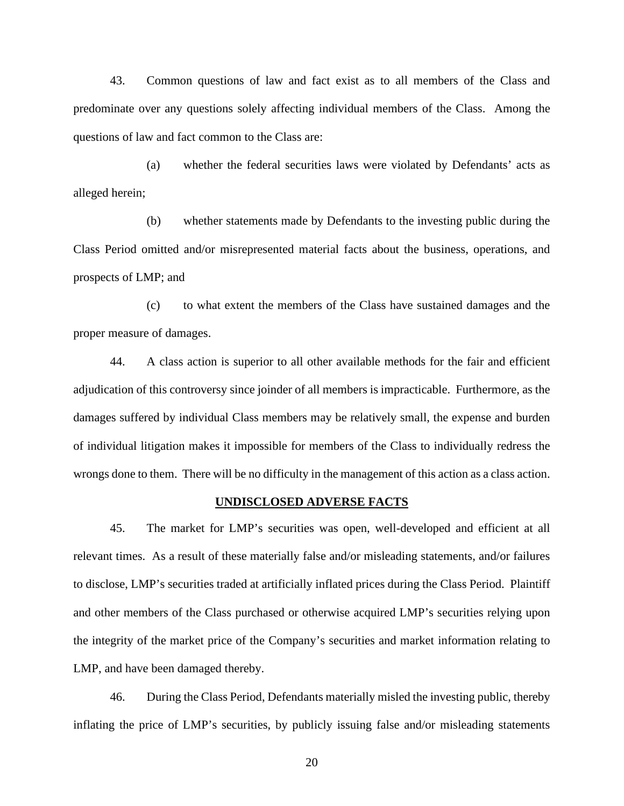43. Common questions of law and fact exist as to all members of the Class and predominate over any questions solely affecting individual members of the Class. Among the questions of law and fact common to the Class are:

(a) whether the federal securities laws were violated by Defendants' acts as alleged herein;

(b) whether statements made by Defendants to the investing public during the Class Period omitted and/or misrepresented material facts about the business, operations, and prospects of LMP; and

(c) to what extent the members of the Class have sustained damages and the proper measure of damages.

44. A class action is superior to all other available methods for the fair and efficient adjudication of this controversy since joinder of all members is impracticable. Furthermore, as the damages suffered by individual Class members may be relatively small, the expense and burden of individual litigation makes it impossible for members of the Class to individually redress the wrongs done to them. There will be no difficulty in the management of this action as a class action.

#### **UNDISCLOSED ADVERSE FACTS**

45. The market for LMP's securities was open, well-developed and efficient at all relevant times. As a result of these materially false and/or misleading statements, and/or failures to disclose, LMP's securities traded at artificially inflated prices during the Class Period. Plaintiff and other members of the Class purchased or otherwise acquired LMP's securities relying upon the integrity of the market price of the Company's securities and market information relating to LMP, and have been damaged thereby.

46. During the Class Period, Defendants materially misled the investing public, thereby inflating the price of LMP's securities, by publicly issuing false and/or misleading statements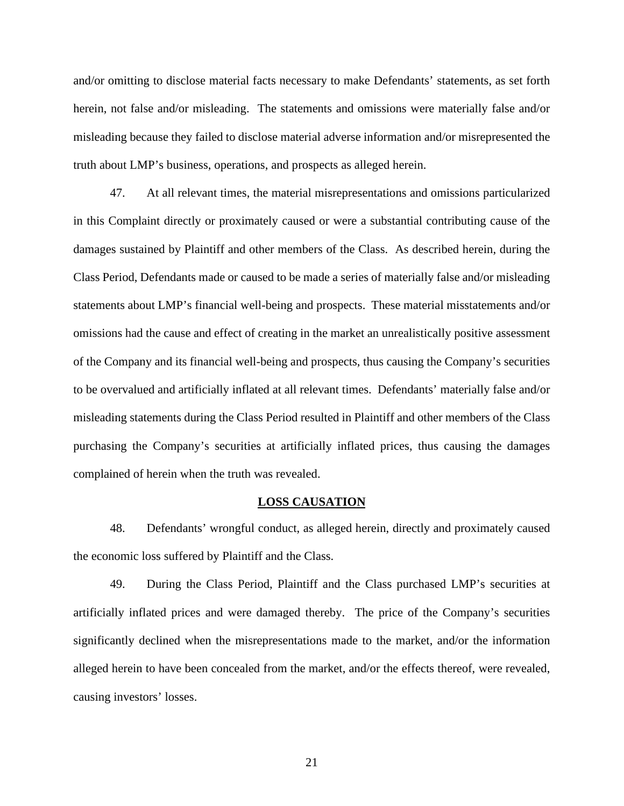and/or omitting to disclose material facts necessary to make Defendants' statements, as set forth herein, not false and/or misleading. The statements and omissions were materially false and/or misleading because they failed to disclose material adverse information and/or misrepresented the truth about LMP's business, operations, and prospects as alleged herein.

47. At all relevant times, the material misrepresentations and omissions particularized in this Complaint directly or proximately caused or were a substantial contributing cause of the damages sustained by Plaintiff and other members of the Class. As described herein, during the Class Period, Defendants made or caused to be made a series of materially false and/or misleading statements about LMP's financial well-being and prospects. These material misstatements and/or omissions had the cause and effect of creating in the market an unrealistically positive assessment of the Company and its financial well-being and prospects, thus causing the Company's securities to be overvalued and artificially inflated at all relevant times. Defendants' materially false and/or misleading statements during the Class Period resulted in Plaintiff and other members of the Class purchasing the Company's securities at artificially inflated prices, thus causing the damages complained of herein when the truth was revealed.

#### **LOSS CAUSATION**

48. Defendants' wrongful conduct, as alleged herein, directly and proximately caused the economic loss suffered by Plaintiff and the Class.

49. During the Class Period, Plaintiff and the Class purchased LMP's securities at artificially inflated prices and were damaged thereby. The price of the Company's securities significantly declined when the misrepresentations made to the market, and/or the information alleged herein to have been concealed from the market, and/or the effects thereof, were revealed, causing investors' losses.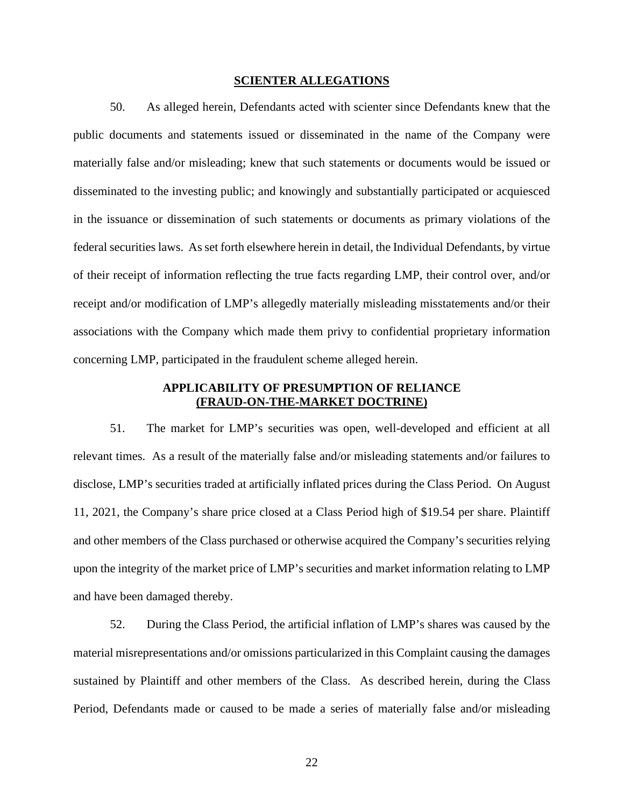#### **SCIENTER ALLEGATIONS**

50. As alleged herein, Defendants acted with scienter since Defendants knew that the public documents and statements issued or disseminated in the name of the Company were materially false and/or misleading; knew that such statements or documents would be issued or disseminated to the investing public; and knowingly and substantially participated or acquiesced in the issuance or dissemination of such statements or documents as primary violations of the federal securities laws. As set forth elsewhere herein in detail, the Individual Defendants, by virtue of their receipt of information reflecting the true facts regarding LMP, their control over, and/or receipt and/or modification of LMP's allegedly materially misleading misstatements and/or their associations with the Company which made them privy to confidential proprietary information concerning LMP, participated in the fraudulent scheme alleged herein.

# **APPLICABILITY OF PRESUMPTION OF RELIANCE (FRAUD-ON-THE-MARKET DOCTRINE)**

51. The market for LMP's securities was open, well-developed and efficient at all relevant times. As a result of the materially false and/or misleading statements and/or failures to disclose, LMP's securities traded at artificially inflated prices during the Class Period. On August 11, 2021, the Company's share price closed at a Class Period high of \$19.54 per share. Plaintiff and other members of the Class purchased or otherwise acquired the Company's securities relying upon the integrity of the market price of LMP's securities and market information relating to LMP and have been damaged thereby.

52. During the Class Period, the artificial inflation of LMP's shares was caused by the material misrepresentations and/or omissions particularized in this Complaint causing the damages sustained by Plaintiff and other members of the Class. As described herein, during the Class Period, Defendants made or caused to be made a series of materially false and/or misleading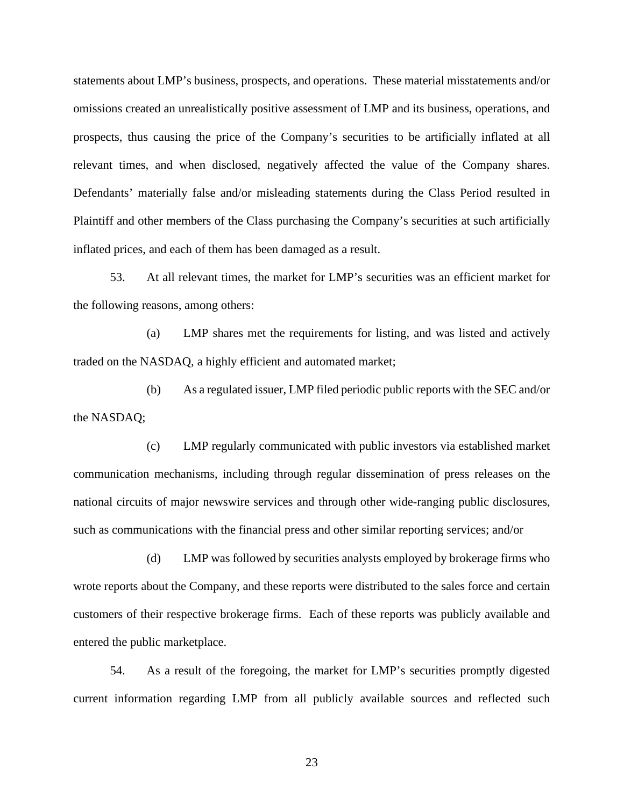statements about LMP's business, prospects, and operations. These material misstatements and/or omissions created an unrealistically positive assessment of LMP and its business, operations, and prospects, thus causing the price of the Company's securities to be artificially inflated at all relevant times, and when disclosed, negatively affected the value of the Company shares. Defendants' materially false and/or misleading statements during the Class Period resulted in Plaintiff and other members of the Class purchasing the Company's securities at such artificially inflated prices, and each of them has been damaged as a result.

53. At all relevant times, the market for LMP's securities was an efficient market for the following reasons, among others:

(a) LMP shares met the requirements for listing, and was listed and actively traded on the NASDAQ, a highly efficient and automated market;

(b) As a regulated issuer, LMP filed periodic public reports with the SEC and/or the NASDAQ;

(c) LMP regularly communicated with public investors via established market communication mechanisms, including through regular dissemination of press releases on the national circuits of major newswire services and through other wide-ranging public disclosures, such as communications with the financial press and other similar reporting services; and/or

(d) LMP was followed by securities analysts employed by brokerage firms who wrote reports about the Company, and these reports were distributed to the sales force and certain customers of their respective brokerage firms. Each of these reports was publicly available and entered the public marketplace.

54. As a result of the foregoing, the market for LMP's securities promptly digested current information regarding LMP from all publicly available sources and reflected such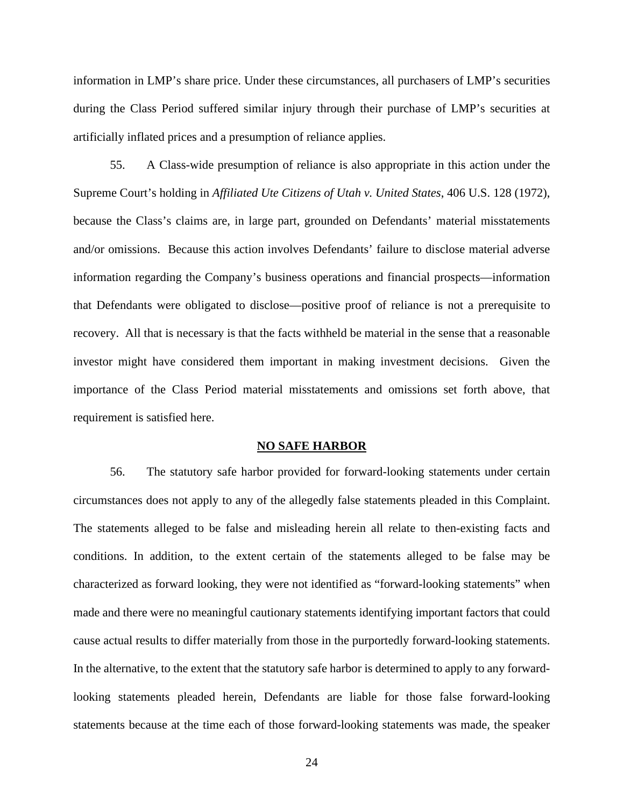information in LMP's share price. Under these circumstances, all purchasers of LMP's securities during the Class Period suffered similar injury through their purchase of LMP's securities at artificially inflated prices and a presumption of reliance applies.

55. A Class-wide presumption of reliance is also appropriate in this action under the Supreme Court's holding in *Affiliated Ute Citizens of Utah v. United States*, 406 U.S. 128 (1972), because the Class's claims are, in large part, grounded on Defendants' material misstatements and/or omissions. Because this action involves Defendants' failure to disclose material adverse information regarding the Company's business operations and financial prospects—information that Defendants were obligated to disclose—positive proof of reliance is not a prerequisite to recovery. All that is necessary is that the facts withheld be material in the sense that a reasonable investor might have considered them important in making investment decisions. Given the importance of the Class Period material misstatements and omissions set forth above, that requirement is satisfied here.

#### **NO SAFE HARBOR**

56. The statutory safe harbor provided for forward-looking statements under certain circumstances does not apply to any of the allegedly false statements pleaded in this Complaint. The statements alleged to be false and misleading herein all relate to then-existing facts and conditions. In addition, to the extent certain of the statements alleged to be false may be characterized as forward looking, they were not identified as "forward-looking statements" when made and there were no meaningful cautionary statements identifying important factors that could cause actual results to differ materially from those in the purportedly forward-looking statements. In the alternative, to the extent that the statutory safe harbor is determined to apply to any forwardlooking statements pleaded herein, Defendants are liable for those false forward-looking statements because at the time each of those forward-looking statements was made, the speaker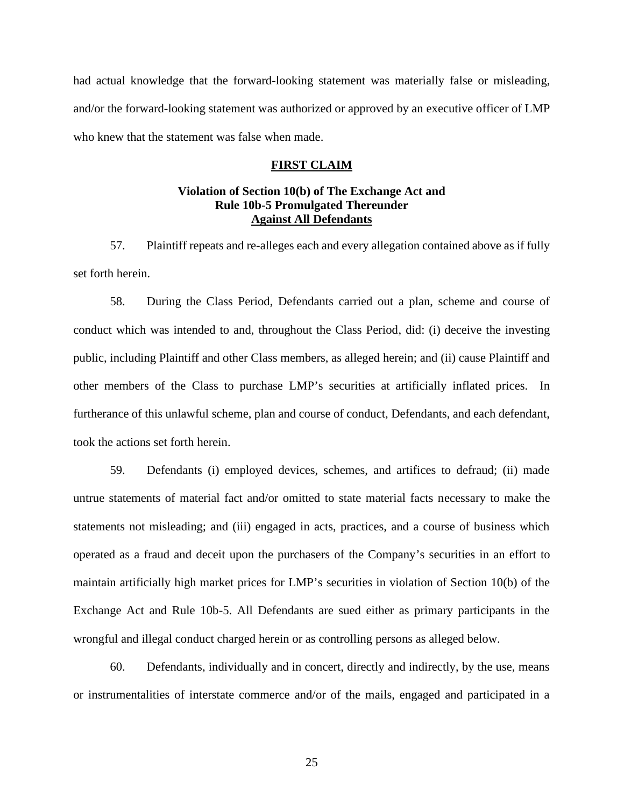had actual knowledge that the forward-looking statement was materially false or misleading, and/or the forward-looking statement was authorized or approved by an executive officer of LMP who knew that the statement was false when made.

### **FIRST CLAIM**

### **Violation of Section 10(b) of The Exchange Act and Rule 10b-5 Promulgated Thereunder Against All Defendants**

57. Plaintiff repeats and re-alleges each and every allegation contained above as if fully set forth herein.

58. During the Class Period, Defendants carried out a plan, scheme and course of conduct which was intended to and, throughout the Class Period, did: (i) deceive the investing public, including Plaintiff and other Class members, as alleged herein; and (ii) cause Plaintiff and other members of the Class to purchase LMP's securities at artificially inflated prices. In furtherance of this unlawful scheme, plan and course of conduct, Defendants, and each defendant, took the actions set forth herein.

59. Defendants (i) employed devices, schemes, and artifices to defraud; (ii) made untrue statements of material fact and/or omitted to state material facts necessary to make the statements not misleading; and (iii) engaged in acts, practices, and a course of business which operated as a fraud and deceit upon the purchasers of the Company's securities in an effort to maintain artificially high market prices for LMP's securities in violation of Section 10(b) of the Exchange Act and Rule 10b-5. All Defendants are sued either as primary participants in the wrongful and illegal conduct charged herein or as controlling persons as alleged below.

60. Defendants, individually and in concert, directly and indirectly, by the use, means or instrumentalities of interstate commerce and/or of the mails, engaged and participated in a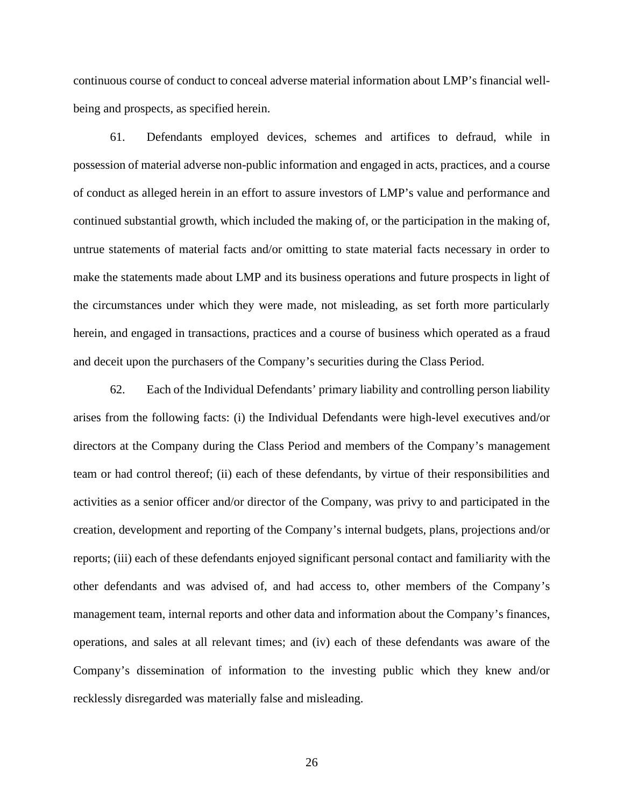continuous course of conduct to conceal adverse material information about LMP's financial well being and prospects, as specified herein.

61. Defendants employed devices, schemes and artifices to defraud, while in possession of material adverse non-public information and engaged in acts, practices, and a course of conduct as alleged herein in an effort to assure investors of LMP's value and performance and continued substantial growth, which included the making of, or the participation in the making of, untrue statements of material facts and/or omitting to state material facts necessary in order to make the statements made about LMP and its business operations and future prospects in light of the circumstances under which they were made, not misleading, as set forth more particularly herein, and engaged in transactions, practices and a course of business which operated as a fraud and deceit upon the purchasers of the Company's securities during the Class Period.

62. Each of the Individual Defendants' primary liability and controlling person liability arises from the following facts: (i) the Individual Defendants were high-level executives and/or directors at the Company during the Class Period and members of the Company's management team or had control thereof; (ii) each of these defendants, by virtue of their responsibilities and activities as a senior officer and/or director of the Company, was privy to and participated in the creation, development and reporting of the Company's internal budgets, plans, projections and/or reports; (iii) each of these defendants enjoyed significant personal contact and familiarity with the other defendants and was advised of, and had access to, other members of the Company's management team, internal reports and other data and information about the Company's finances, operations, and sales at all relevant times; and (iv) each of these defendants was aware of the Company's dissemination of information to the investing public which they knew and/or recklessly disregarded was materially false and misleading.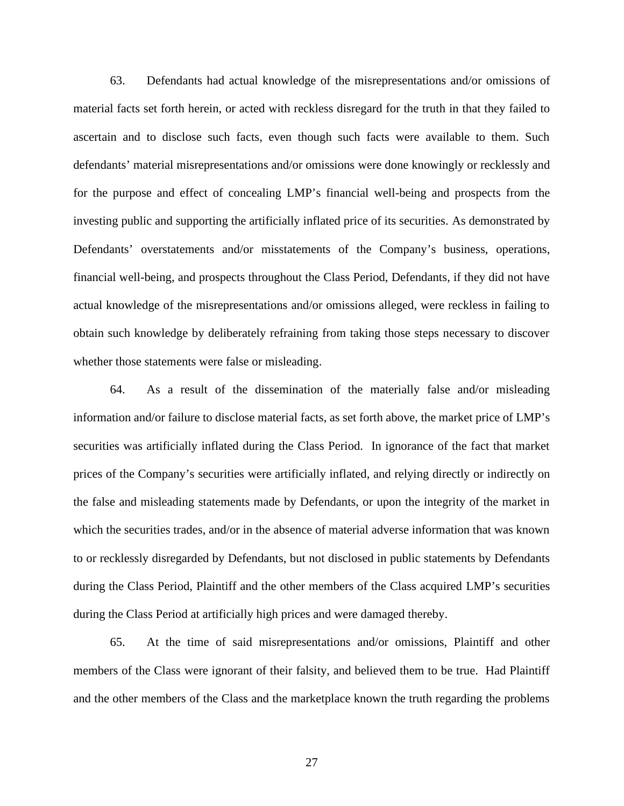63. Defendants had actual knowledge of the misrepresentations and/or omissions of material facts set forth herein, or acted with reckless disregard for the truth in that they failed to ascertain and to disclose such facts, even though such facts were available to them. Such defendants' material misrepresentations and/or omissions were done knowingly or recklessly and for the purpose and effect of concealing LMP's financial well-being and prospects from the investing public and supporting the artificially inflated price of its securities. As demonstrated by Defendants' overstatements and/or misstatements of the Company's business, operations, financial well-being, and prospects throughout the Class Period, Defendants, if they did not have actual knowledge of the misrepresentations and/or omissions alleged, were reckless in failing to obtain such knowledge by deliberately refraining from taking those steps necessary to discover whether those statements were false or misleading.

64. As a result of the dissemination of the materially false and/or misleading information and/or failure to disclose material facts, as set forth above, the market price of LMP's securities was artificially inflated during the Class Period. In ignorance of the fact that market prices of the Company's securities were artificially inflated, and relying directly or indirectly on the false and misleading statements made by Defendants, or upon the integrity of the market in which the securities trades, and/or in the absence of material adverse information that was known to or recklessly disregarded by Defendants, but not disclosed in public statements by Defendants during the Class Period, Plaintiff and the other members of the Class acquired LMP's securities during the Class Period at artificially high prices and were damaged thereby.

65. At the time of said misrepresentations and/or omissions, Plaintiff and other members of the Class were ignorant of their falsity, and believed them to be true. Had Plaintiff and the other members of the Class and the marketplace known the truth regarding the problems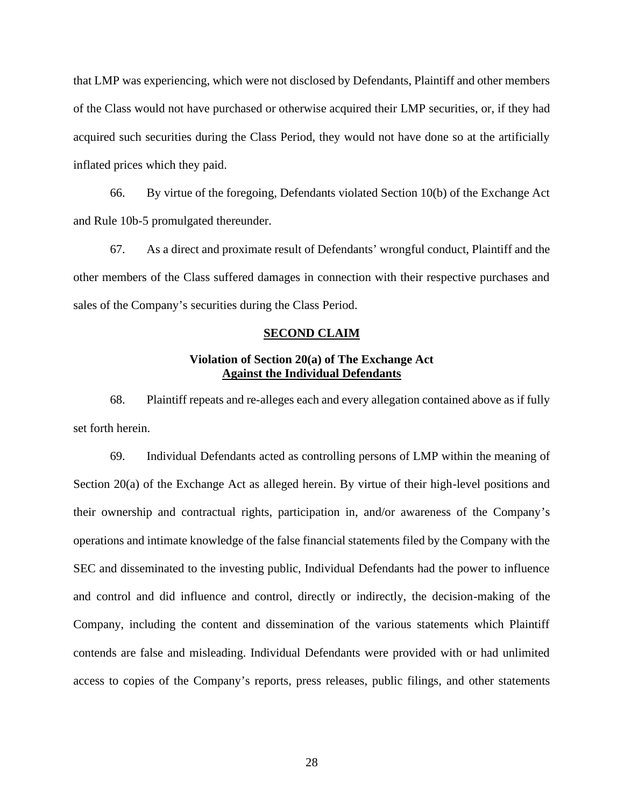that LMP was experiencing, which were not disclosed by Defendants, Plaintiff and other members of the Class would not have purchased or otherwise acquired their LMP securities, or, if they had acquired such securities during the Class Period, they would not have done so at the artificially inflated prices which they paid.

66. By virtue of the foregoing, Defendants violated Section 10(b) of the Exchange Act and Rule 10b-5 promulgated thereunder.

67. As a direct and proximate result of Defendants' wrongful conduct, Plaintiff and the other members of the Class suffered damages in connection with their respective purchases and sales of the Company's securities during the Class Period.

### **SECOND CLAIM**

# **Violation of Section 20(a) of The Exchange Act Against the Individual Defendants**

68. Plaintiff repeats and re-alleges each and every allegation contained above as if fully set forth herein.

69. Individual Defendants acted as controlling persons of LMP within the meaning of Section 20(a) of the Exchange Act as alleged herein. By virtue of their high-level positions and their ownership and contractual rights, participation in, and/or awareness of the Company's operations and intimate knowledge of the false financial statements filed by the Company with the SEC and disseminated to the investing public, Individual Defendants had the power to influence and control and did influence and control, directly or indirectly, the decision-making of the Company, including the content and dissemination of the various statements which Plaintiff contends are false and misleading. Individual Defendants were provided with or had unlimited access to copies of the Company's reports, press releases, public filings, and other statements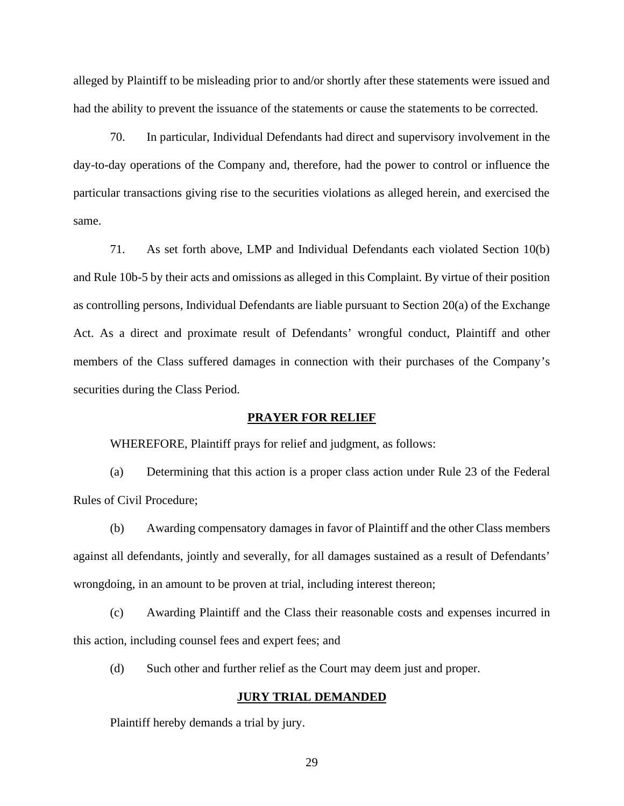alleged by Plaintiff to be misleading prior to and/or shortly after these statements were issued and had the ability to prevent the issuance of the statements or cause the statements to be corrected.

70. In particular, Individual Defendants had direct and supervisory involvement in the day-to-day operations of the Company and, therefore, had the power to control or influence the particular transactions giving rise to the securities violations as alleged herein, and exercised the same.

71. As set forth above, LMP and Individual Defendants each violated Section 10(b) and Rule 10b-5 by their acts and omissions as alleged in this Complaint. By virtue of their position as controlling persons, Individual Defendants are liable pursuant to Section 20(a) of the Exchange Act. As a direct and proximate result of Defendants' wrongful conduct, Plaintiff and other members of the Class suffered damages in connection with their purchases of the Company's securities during the Class Period.

### **PRAYER FOR RELIEF**

WHEREFORE, Plaintiff prays for relief and judgment, as follows:

(a) Determining that this action is a proper class action under Rule 23 of the Federal Rules of Civil Procedure;

(b) Awarding compensatory damages in favor of Plaintiff and the other Class members against all defendants, jointly and severally, for all damages sustained as a result of Defendants' wrongdoing, in an amount to be proven at trial, including interest thereon;

(c) Awarding Plaintiff and the Class their reasonable costs and expenses incurred in this action, including counsel fees and expert fees; and

(d) Such other and further relief as the Court may deem just and proper.

### **JURY TRIAL DEMANDED**

Plaintiff hereby demands a trial by jury.